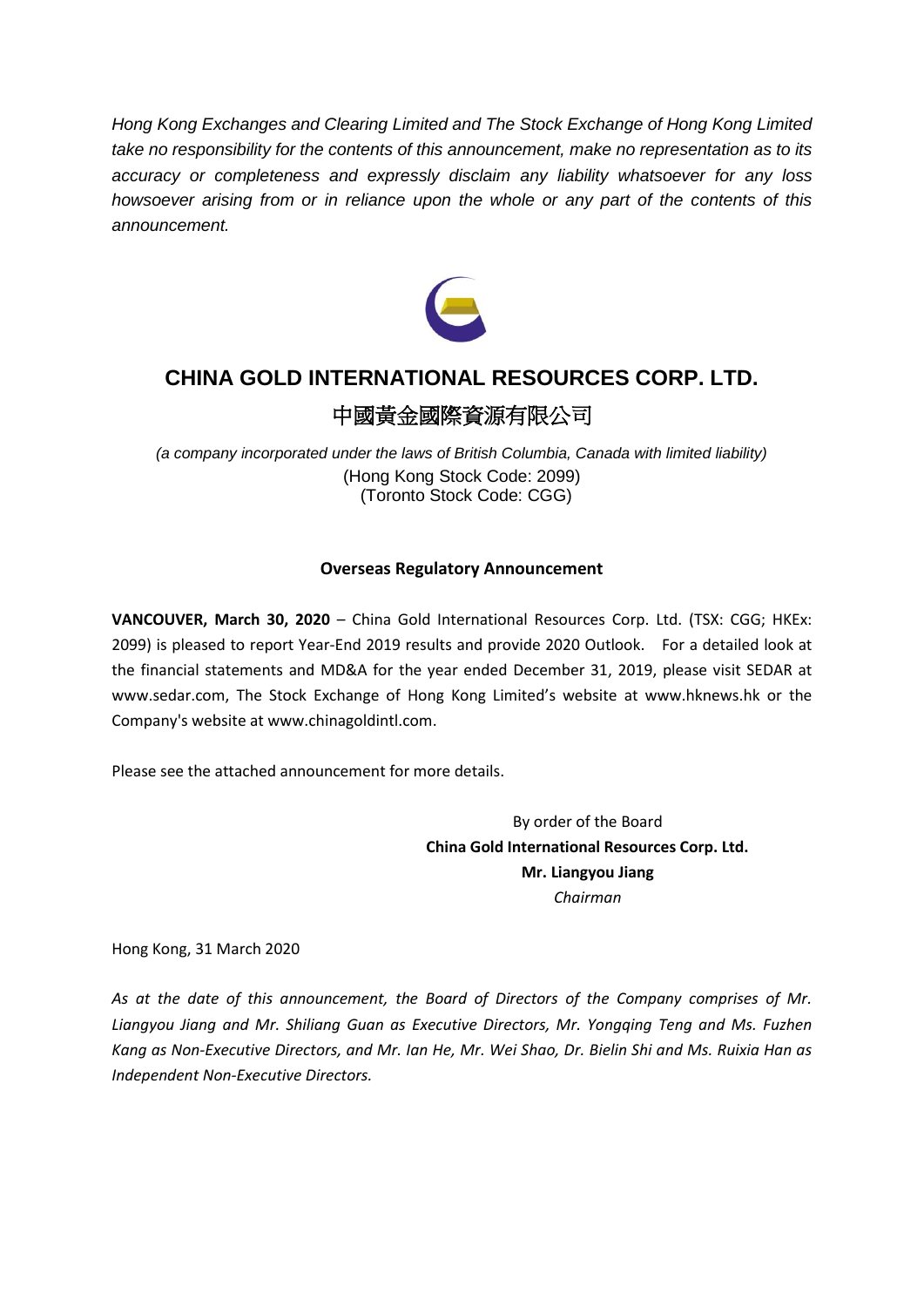*Hong Kong Exchanges and Clearing Limited and The Stock Exchange of Hong Kong Limited take no responsibility for the contents of this announcement, make no representation as to its accuracy or completeness and expressly disclaim any liability whatsoever for any loss howsoever arising from or in reliance upon the whole or any part of the contents of this announcement.*



# **CHINA GOLD INTERNATIONAL RESOURCES CORP. LTD.** 中國黃金國際資源有限公司

*(a company incorporated under the laws of British Columbia, Canada with limited liability)* (Hong Kong Stock Code: 2099) (Toronto Stock Code: CGG)

# **Overseas Regulatory Announcement**

**VANCOUVER, March 30, 2020** – China Gold International Resources Corp. Ltd. (TSX: CGG; HKEx: 2099) is pleased to report Year-End 2019 results and provide 2020 Outlook. For a detailed look at the financial statements and MD&A for the year ended December 31, 2019, please visit SEDAR at www.sedar.com, The Stock Exchange of Hong Kong Limited's website at www.hknews.hk or the Company's website at www.chinagoldintl.com.

Please see the attached announcement for more details.

By order of the Board **China Gold International Resources Corp. Ltd. Mr. Liangyou Jiang** *Chairman*

Hong Kong, 31 March 2020

*As at the date of this announcement, the Board of Directors of the Company comprises of Mr. Liangyou Jiang and Mr. Shiliang Guan as Executive Directors, Mr. Yongqing Teng and Ms. Fuzhen Kang as Non‐Executive Directors, and Mr. Ian He, Mr. Wei Shao, Dr. Bielin Shi and Ms. Ruixia Han as Independent Non‐Executive Directors.*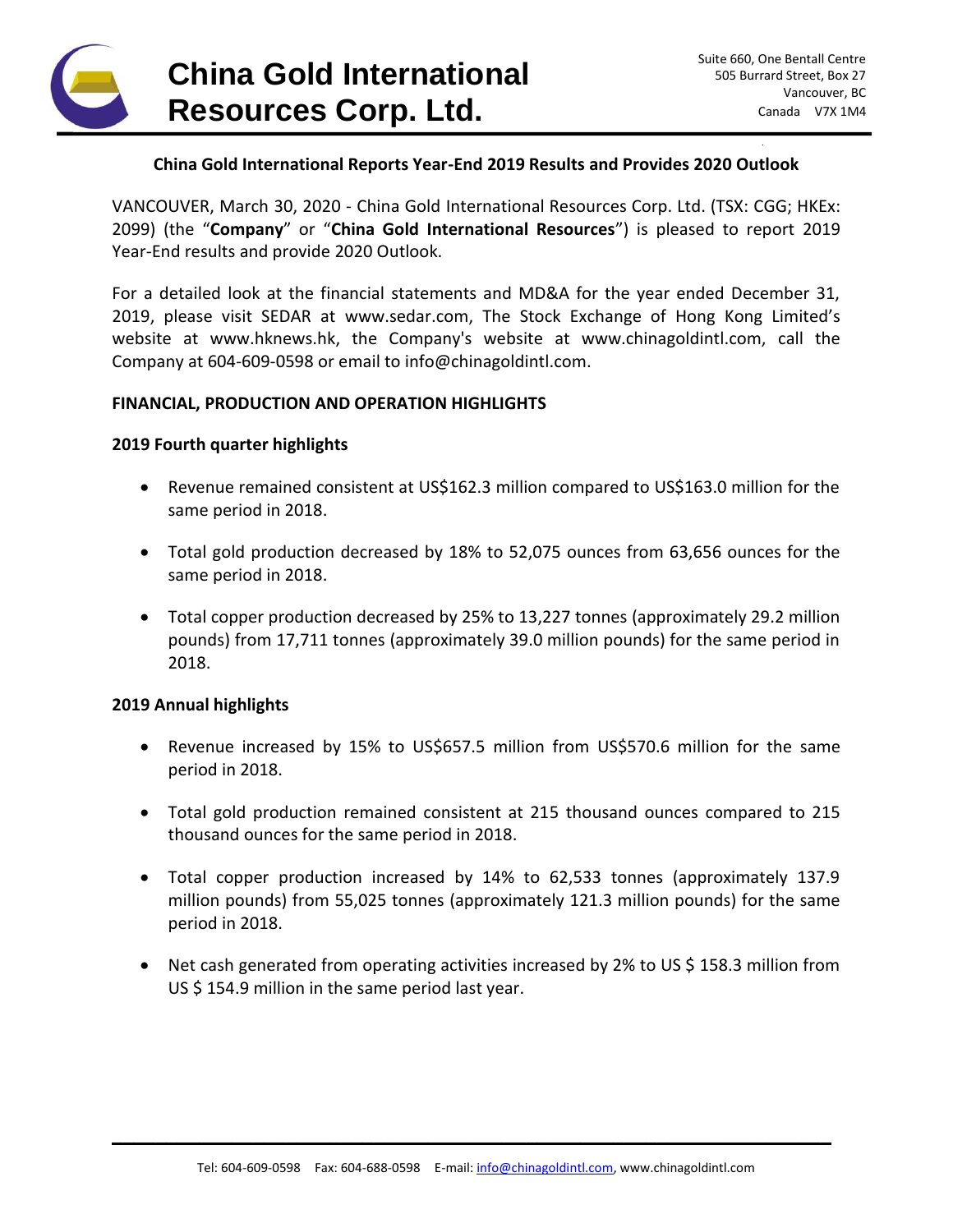

## **China Gold International Reports Year-End 2019 Results and Provides 2020 Outlook**

VANCOUVER, March 30, 2020 - China Gold International Resources Corp. Ltd. (TSX: CGG; HKEx: 2099) (the "**Company**" or "**China Gold International Resources**") is pleased to report 2019 Year-End results and provide 2020 Outlook.

For a detailed look at the financial statements and MD&A for the year ended December 31, 2019, please visit SEDAR at www.sedar.com, The Stock Exchange of Hong Kong Limited's website at www.hknews.hk, the Company's website at www.chinagoldintl.com, call the Company at 604-609-0598 or email to info@chinagoldintl.com.

## **FINANCIAL, PRODUCTION AND OPERATION HIGHLIGHTS**

#### **2019 Fourth quarter highlights**

- Revenue remained consistent at US\$162.3 million compared to US\$163.0 million for the same period in 2018.
- Total gold production decreased by 18% to 52,075 ounces from 63,656 ounces for the same period in 2018.
- Total copper production decreased by 25% to 13,227 tonnes (approximately 29.2 million pounds) from 17,711 tonnes (approximately 39.0 million pounds) for the same period in 2018.

## **2019 Annual highlights**

- Revenue increased by 15% to US\$657.5 million from US\$570.6 million for the same period in 2018.
- Total gold production remained consistent at 215 thousand ounces compared to 215 thousand ounces for the same period in 2018.
- Total copper production increased by 14% to 62,533 tonnes (approximately 137.9 million pounds) from 55,025 tonnes (approximately 121.3 million pounds) for the same period in 2018.
- Net cash generated from operating activities increased by 2% to US \$ 158.3 million from US \$ 154.9 million in the same period last year.

\_\_\_\_\_\_\_\_\_\_\_\_\_\_\_\_\_\_\_\_\_\_\_\_\_\_\_\_\_\_\_\_\_\_\_\_\_\_\_\_\_\_\_\_\_\_\_\_\_\_\_\_\_\_\_\_\_\_\_\_\_\_\_\_\_\_